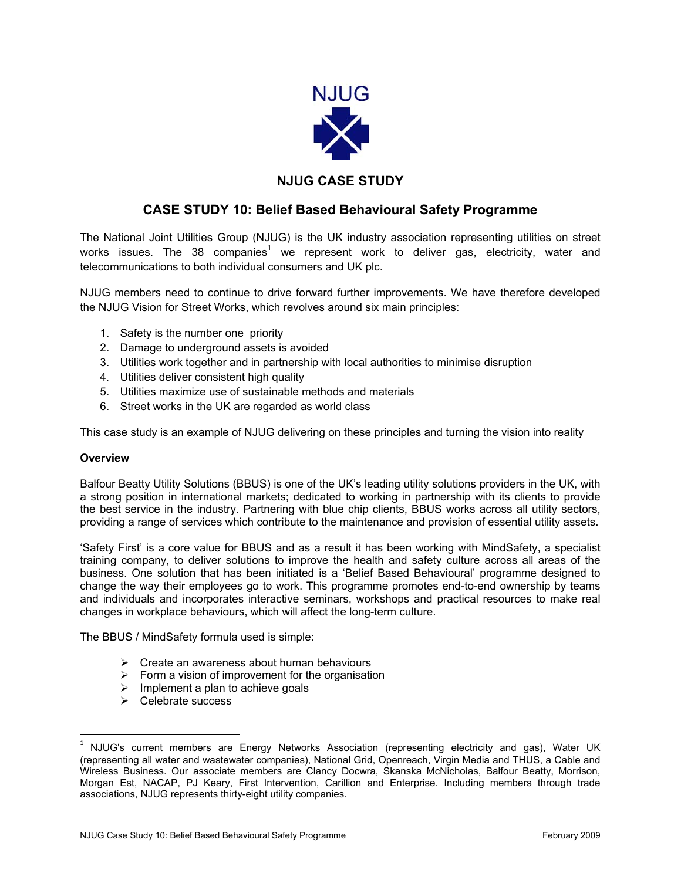

## **NJUG CASE STUDY**

## **CASE STUDY 10: Belief Based Behavioural Safety Programme**

The National Joint Utilities Group (NJUG) is the UK industry association representing utilities on street works issues. The 38 companies<sup>1</sup> we represent work to deliver gas, electricity, water and telecommunications to both individual consumers and UK plc.

NJUG members need to continue to drive forward further improvements. We have therefore developed the NJUG Vision for Street Works, which revolves around six main principles:

- 1. Safety is the number one priority
- 2. Damage to underground assets is avoided
- 3. Utilities work together and in partnership with local authorities to minimise disruption
- 4. Utilities deliver consistent high quality
- 5. Utilities maximize use of sustainable methods and materials
- 6. Street works in the UK are regarded as world class

This case study is an example of NJUG delivering on these principles and turning the vision into reality

#### **Overview**

 $\overline{\phantom{a}}$ 

Balfour Beatty Utility Solutions (BBUS) is one of the UK's leading utility solutions providers in the UK, with a strong position in international markets; dedicated to working in partnership with its clients to provide the best service in the industry. Partnering with blue chip clients, BBUS works across all utility sectors, providing a range of services which contribute to the maintenance and provision of essential utility assets.

'Safety First' is a core value for BBUS and as a result it has been working with MindSafety, a specialist training company, to deliver solutions to improve the health and safety culture across all areas of the business. One solution that has been initiated is a 'Belief Based Behavioural' programme designed to change the way their employees go to work. This programme promotes end-to-end ownership by teams and individuals and incorporates interactive seminars, workshops and practical resources to make real changes in workplace behaviours, which will affect the long-term culture.

The BBUS / MindSafety formula used is simple:

- $\triangleright$  Create an awareness about human behaviours
- $\triangleright$  Form a vision of improvement for the organisation
- $\triangleright$  Implement a plan to achieve goals
- $\triangleright$  Celebrate success

<sup>&</sup>lt;sup>1</sup> NJUG's current members are Energy Networks Association (representing electricity and gas), Water UK (representing all water and wastewater companies), National Grid, Openreach, Virgin Media and THUS, a Cable and Wireless Business. Our associate members are Clancy Docwra, Skanska McNicholas, Balfour Beatty, Morrison, Morgan Est, NACAP, PJ Keary, First Intervention, Carillion and Enterprise. Including members through trade associations, NJUG represents thirty-eight utility companies.